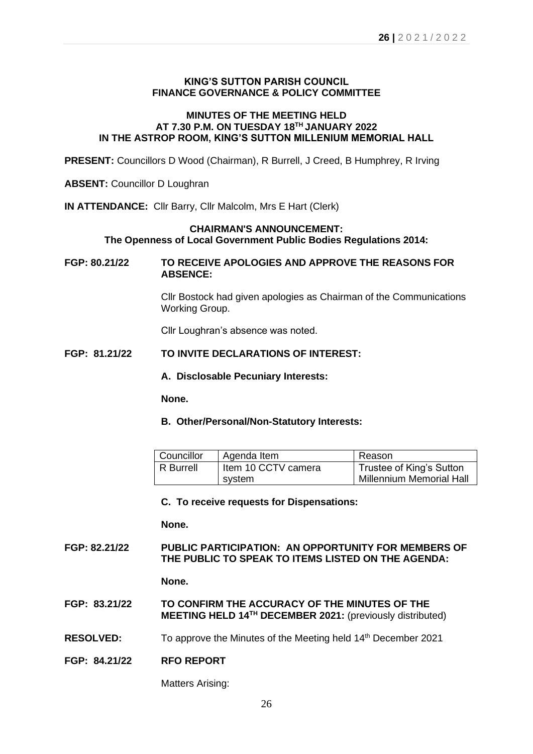# **KING'S SUTTON PARISH COUNCIL FINANCE GOVERNANCE & POLICY COMMITTEE**

# **MINUTES OF THE MEETING HELD AT 7.30 P.M. ON TUESDAY 18 TH JANUARY 2022 IN THE ASTROP ROOM, KING'S SUTTON MILLENIUM MEMORIAL HALL**

**PRESENT:** Councillors D Wood (Chairman), R Burrell, J Creed, B Humphrey, R Irving

**ABSENT:** Councillor D Loughran

**IN ATTENDANCE:** Cllr Barry, Cllr Malcolm, Mrs E Hart (Clerk)

### **CHAIRMAN'S ANNOUNCEMENT: The Openness of Local Government Public Bodies Regulations 2014:**

**FGP: 80.21/22 TO RECEIVE APOLOGIES AND APPROVE THE REASONS FOR ABSENCE:**

> Cllr Bostock had given apologies as Chairman of the Communications Working Group.

Cllr Loughran's absence was noted.

# **FGP: 81.21/22 TO INVITE DECLARATIONS OF INTEREST:**

**A. Disclosable Pecuniary Interests:**

**None.**

#### **B. Other/Personal/Non-Statutory Interests:**

| Councillor | Agenda Item         | Reason                          |
|------------|---------------------|---------------------------------|
| R Burrell  | Item 10 CCTV camera | Trustee of King's Sutton        |
|            | svstem              | <b>Millennium Memorial Hall</b> |

#### **C. To receive requests for Dispensations:**

**None.**

### **FGP: 82.21/22 PUBLIC PARTICIPATION: AN OPPORTUNITY FOR MEMBERS OF THE PUBLIC TO SPEAK TO ITEMS LISTED ON THE AGENDA:**

**None.**

- **FGP: 83.21/22 TO CONFIRM THE ACCURACY OF THE MINUTES OF THE MEETING HELD 14 TH DECEMBER 2021:** (previously distributed)
- **RESOLVED:** To approve the Minutes of the Meeting held 14<sup>th</sup> December 2021
- **FGP: 84.21/22 RFO REPORT**

Matters Arising: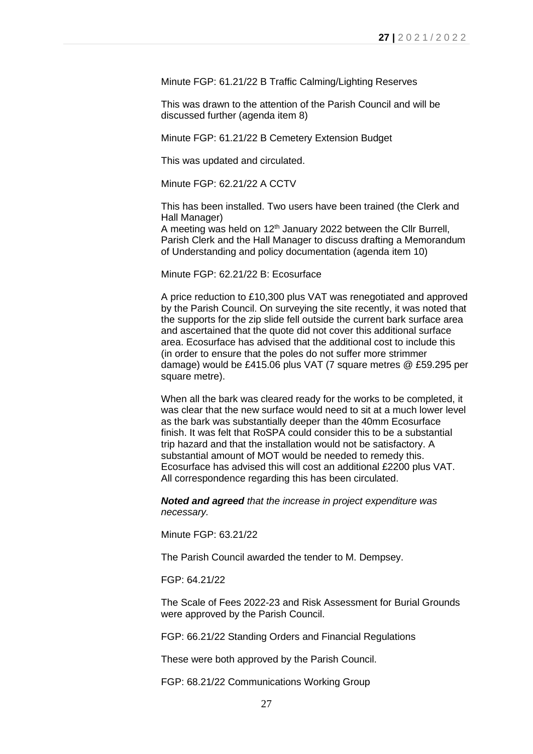Minute FGP: 61.21/22 B Traffic Calming/Lighting Reserves

This was drawn to the attention of the Parish Council and will be discussed further (agenda item 8)

Minute FGP: 61.21/22 B Cemetery Extension Budget

This was updated and circulated.

Minute FGP: 62.21/22 A CCTV

This has been installed. Two users have been trained (the Clerk and Hall Manager)

A meeting was held on 12<sup>th</sup> January 2022 between the Cllr Burrell, Parish Clerk and the Hall Manager to discuss drafting a Memorandum of Understanding and policy documentation (agenda item 10)

Minute FGP: 62.21/22 B: Ecosurface

A price reduction to £10,300 plus VAT was renegotiated and approved by the Parish Council. On surveying the site recently, it was noted that the supports for the zip slide fell outside the current bark surface area and ascertained that the quote did not cover this additional surface area. Ecosurface has advised that the additional cost to include this (in order to ensure that the poles do not suffer more strimmer damage) would be £415.06 plus VAT (7 square metres @ £59.295 per square metre).

When all the bark was cleared ready for the works to be completed, it was clear that the new surface would need to sit at a much lower level as the bark was substantially deeper than the 40mm Ecosurface finish. It was felt that RoSPA could consider this to be a substantial trip hazard and that the installation would not be satisfactory. A substantial amount of MOT would be needed to remedy this. Ecosurface has advised this will cost an additional £2200 plus VAT. All correspondence regarding this has been circulated.

*Noted and agreed that the increase in project expenditure was necessary.*

Minute FGP: 63.21/22

The Parish Council awarded the tender to M. Dempsey.

FGP: 64.21/22

The Scale of Fees 2022-23 and Risk Assessment for Burial Grounds were approved by the Parish Council.

FGP: 66.21/22 Standing Orders and Financial Regulations

These were both approved by the Parish Council.

FGP: 68.21/22 Communications Working Group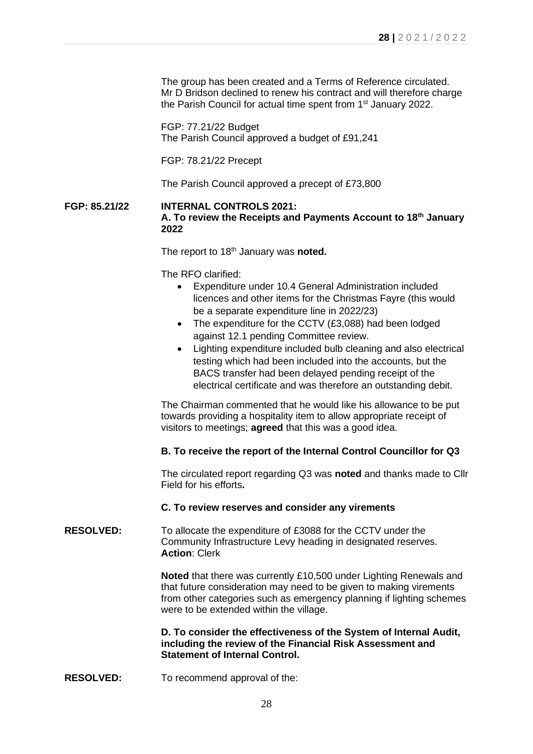The group has been created and a Terms of Reference circulated. Mr D Bridson declined to renew his contract and will therefore charge the Parish Council for actual time spent from 1<sup>st</sup> January 2022.

FGP: 77.21/22 Budget The Parish Council approved a budget of £91,241

FGP: 78.21/22 Precept

The Parish Council approved a precept of £73,800

# **FGP: 85.21/22 INTERNAL CONTROLS 2021: A. To review the Receipts and Payments Account to 18th January 2022**

The report to 18<sup>th</sup> January was noted.

The RFO clarified:

- Expenditure under 10.4 General Administration included licences and other items for the Christmas Fayre (this would be a separate expenditure line in 2022/23)
- The expenditure for the CCTV (£3,088) had been lodged against 12.1 pending Committee review.
- Lighting expenditure included bulb cleaning and also electrical testing which had been included into the accounts, but the BACS transfer had been delayed pending receipt of the electrical certificate and was therefore an outstanding debit.

The Chairman commented that he would like his allowance to be put towards providing a hospitality item to allow appropriate receipt of visitors to meetings; **agreed** that this was a good idea.

#### **B. To receive the report of the Internal Control Councillor for Q3**

The circulated report regarding Q3 was **noted** and thanks made to Cllr Field for his efforts**.**

#### **C. To review reserves and consider any virements**

### **RESOLVED:** To allocate the expenditure of £3088 for the CCTV under the Community Infrastructure Levy heading in designated reserves. **Action**: Clerk

**Noted** that there was currently £10,500 under Lighting Renewals and that future consideration may need to be given to making virements from other categories such as emergency planning if lighting schemes were to be extended within the village.

### **D. To consider the effectiveness of the System of Internal Audit, including the review of the Financial Risk Assessment and Statement of Internal Control.**

**RESOLVED:** To recommend approval of the: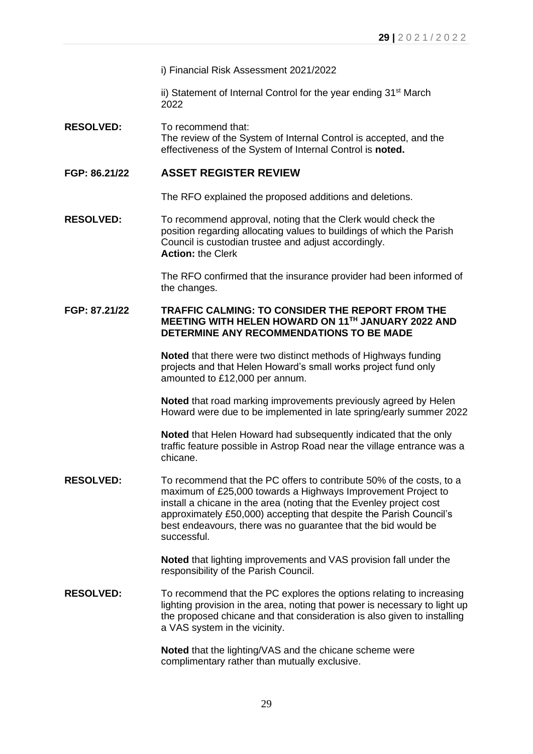i) Financial Risk Assessment 2021/2022

ii) Statement of Internal Control for the year ending  $31<sup>st</sup>$  March 2022

**RESOLVED:** To recommend that: The review of the System of Internal Control is accepted, and the effectiveness of the System of Internal Control is **noted.**

# **FGP: 86.21/22 ASSET REGISTER REVIEW**

The RFO explained the proposed additions and deletions.

**RESOLVED:** To recommend approval, noting that the Clerk would check the position regarding allocating values to buildings of which the Parish Council is custodian trustee and adjust accordingly. **Action:** the Clerk

> The RFO confirmed that the insurance provider had been informed of the changes.

### **FGP: 87.21/22 TRAFFIC CALMING: TO CONSIDER THE REPORT FROM THE MEETING WITH HELEN HOWARD ON 11TH JANUARY 2022 AND DETERMINE ANY RECOMMENDATIONS TO BE MADE**

**Noted** that there were two distinct methods of Highways funding projects and that Helen Howard's small works project fund only amounted to £12,000 per annum.

**Noted** that road marking improvements previously agreed by Helen Howard were due to be implemented in late spring/early summer 2022

**Noted** that Helen Howard had subsequently indicated that the only traffic feature possible in Astrop Road near the village entrance was a chicane.

**RESOLVED:** To recommend that the PC offers to contribute 50% of the costs, to a maximum of £25,000 towards a Highways Improvement Project to install a chicane in the area (noting that the Evenley project cost approximately £50,000) accepting that despite the Parish Council's best endeavours, there was no guarantee that the bid would be successful.

> **Noted** that lighting improvements and VAS provision fall under the responsibility of the Parish Council.

**RESOLVED:** To recommend that the PC explores the options relating to increasing lighting provision in the area, noting that power is necessary to light up the proposed chicane and that consideration is also given to installing a VAS system in the vicinity.

> **Noted** that the lighting/VAS and the chicane scheme were complimentary rather than mutually exclusive.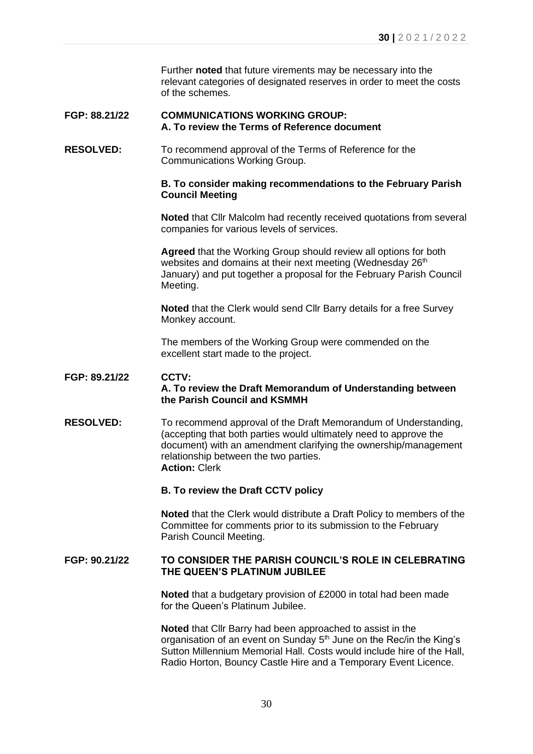Further **noted** that future virements may be necessary into the relevant categories of designated reserves in order to meet the costs of the schemes.

#### **FGP: 88.21/22 COMMUNICATIONS WORKING GROUP: A. To review the Terms of Reference document**

**RESOLVED:** To recommend approval of the Terms of Reference for the Communications Working Group.

### **B. To consider making recommendations to the February Parish Council Meeting**

**Noted** that Cllr Malcolm had recently received quotations from several companies for various levels of services.

**Agreed** that the Working Group should review all options for both websites and domains at their next meeting (Wednesday 26<sup>th</sup> January) and put together a proposal for the February Parish Council Meeting.

**Noted** that the Clerk would send Cllr Barry details for a free Survey Monkey account.

The members of the Working Group were commended on the excellent start made to the project.

# **FGP: 89.21/22 CCTV: A. To review the Draft Memorandum of Understanding between the Parish Council and KSMMH**

**RESOLVED:** To recommend approval of the Draft Memorandum of Understanding, (accepting that both parties would ultimately need to approve the document) with an amendment clarifying the ownership/management relationship between the two parties. **Action:** Clerk

# **B. To review the Draft CCTV policy**

**Noted** that the Clerk would distribute a Draft Policy to members of the Committee for comments prior to its submission to the February Parish Council Meeting.

### **FGP: 90.21/22 TO CONSIDER THE PARISH COUNCIL'S ROLE IN CELEBRATING THE QUEEN'S PLATINUM JUBILEE**

**Noted** that a budgetary provision of £2000 in total had been made for the Queen's Platinum Jubilee.

**Noted** that Cllr Barry had been approached to assist in the organisation of an event on Sunday 5<sup>th</sup> June on the Rec/in the King's Sutton Millennium Memorial Hall. Costs would include hire of the Hall, Radio Horton, Bouncy Castle Hire and a Temporary Event Licence.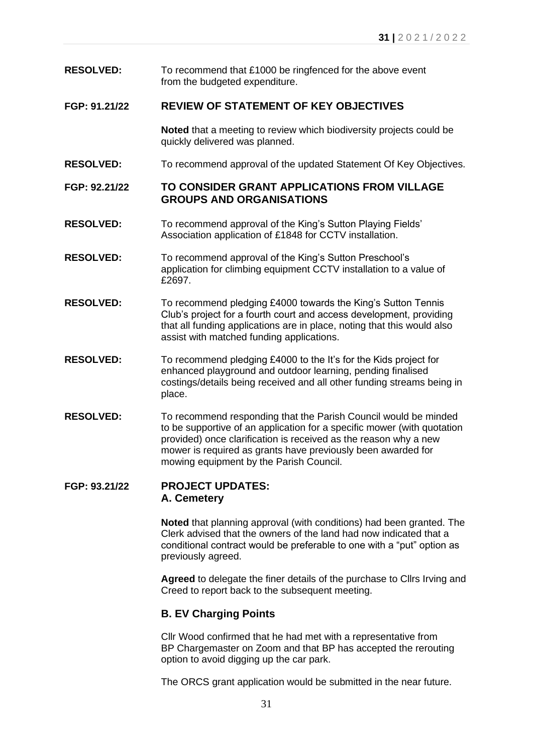- **RESOLVED:** To recommend that £1000 be ringfenced for the above event from the budgeted expenditure.
- **FGP: 91.21/22 REVIEW OF STATEMENT OF KEY OBJECTIVES**

**Noted** that a meeting to review which biodiversity projects could be quickly delivered was planned.

**RESOLVED:** To recommend approval of the updated Statement Of Key Objectives.

**FGP: 92.21/22 TO CONSIDER GRANT APPLICATIONS FROM VILLAGE GROUPS AND ORGANISATIONS**

- **RESOLVED:** To recommend approval of the King's Sutton Playing Fields' Association application of £1848 for CCTV installation.
- **RESOLVED:** To recommend approval of the King's Sutton Preschool's application for climbing equipment CCTV installation to a value of £2697.
- **RESOLVED:** To recommend pledging £4000 towards the King's Sutton Tennis Club's project for a fourth court and access development, providing that all funding applications are in place, noting that this would also assist with matched funding applications.
- **RESOLVED:** To recommend pledging £4000 to the It's for the Kids project for enhanced playground and outdoor learning, pending finalised costings/details being received and all other funding streams being in place.
- **RESOLVED:** To recommend responding that the Parish Council would be minded to be supportive of an application for a specific mower (with quotation provided) once clarification is received as the reason why a new mower is required as grants have previously been awarded for mowing equipment by the Parish Council.

# **FGP: 93.21/22 PROJECT UPDATES: A. Cemetery**

**Noted** that planning approval (with conditions) had been granted. The Clerk advised that the owners of the land had now indicated that a conditional contract would be preferable to one with a "put" option as previously agreed.

**Agreed** to delegate the finer details of the purchase to Cllrs Irving and Creed to report back to the subsequent meeting.

# **B. EV Charging Points**

Cllr Wood confirmed that he had met with a representative from BP Chargemaster on Zoom and that BP has accepted the rerouting option to avoid digging up the car park.

The ORCS grant application would be submitted in the near future.